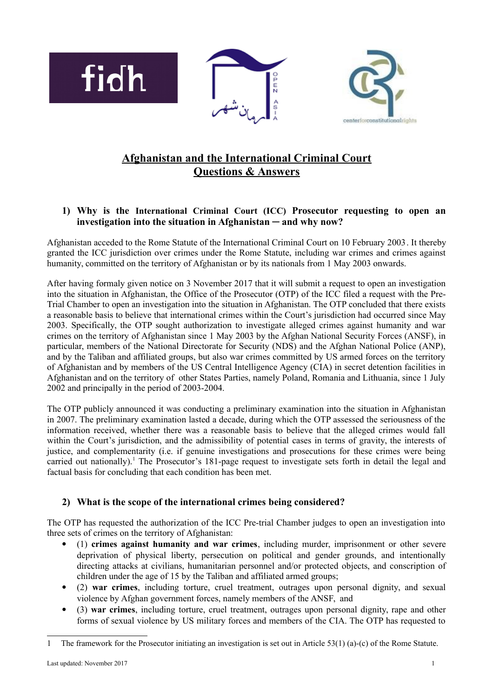

# **Afghanistan and the International Criminal Court Questions & Answers**

## **1) Why is the International Criminal Court (ICC) Prosecutor requesting to open an investigation into the situation in Afghanistan ─ and why now?**

Afghanistan acceded to the Rome Statute of the International Criminal Court on 10 February 2003. It thereby granted the ICC jurisdiction over crimes under the Rome Statute, including war crimes and crimes against humanity, committed on the territory of Afghanistan or by its nationals from 1 May 2003 onwards.

After having formaly given notice on 3 November 2017 that it will submit a request to open an investigation into the situation in Afghanistan, the Office of the Prosecutor (OTP) of the ICC filed a request with the Pre-Trial Chamber to open an investigation into the situation in Afghanistan. The OTP concluded that there exists a reasonable basis to believe that international crimes within the Court's jurisdiction had occurred since May 2003. Specifically, the OTP sought authorization to investigate alleged crimes against humanity and war crimes on the territory of Afghanistan since 1 May 2003 by the Afghan National Security Forces (ANSF), in particular, members of the National Directorate for Security (NDS) and the Afghan National Police (ANP), and by the Taliban and affiliated groups, but also war crimes committed by US armed forces on the territory of Afghanistan and by members of the US Central Intelligence Agency (CIA) in secret detention facilities in Afghanistan and on the territory of other States Parties, namely Poland, Romania and Lithuania, since 1 July 2002 and principally in the period of 2003-2004.

The OTP publicly announced it was conducting a preliminary examination into the situation in Afghanistan in 2007. The preliminary examination lasted a decade, during which the OTP assessed the seriousness of the information received, whether there was a reasonable basis to believe that the alleged crimes would fall within the Court's jurisdiction, and the admissibility of potential cases in terms of gravity, the interests of justice, and complementarity (i.e. if genuine investigations and prosecutions for these crimes were being carried out nationally).<sup>[1](#page-0-0)</sup> The Prosecutor's 181-page request to investigate sets forth in detail the legal and factual basis for concluding that each condition has been met.

# **2) What is the scope of the international crimes being considered?**

The OTP has requested the authorization of the ICC Pre-trial Chamber judges to open an investigation into three sets of crimes on the territory of Afghanistan:

- (1) **crimes against humanity and war crimes**, including murder, imprisonment or other severe deprivation of physical liberty, persecution on political and gender grounds, and intentionally directing attacks at civilians, humanitarian personnel and/or protected objects, and conscription of children under the age of 15 by the Taliban and affiliated armed groups;
- (2) **war crimes**, including torture, cruel treatment, outrages upon personal dignity, and sexual violence by Afghan government forces, namely members of the ANSF, and
- (3) **war crimes**, including torture, cruel treatment, outrages upon personal dignity, rape and other forms of sexual violence by US military forces and members of the CIA. The OTP has requested to

<span id="page-0-0"></span><sup>1</sup> The framework for the Prosecutor initiating an investigation is set out in Article 53(1) (a)-(c) of the Rome Statute.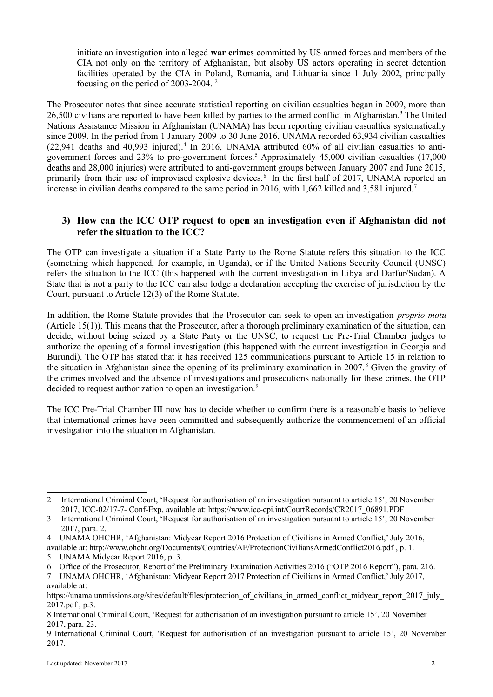initiate an investigation into alleged **war crimes** committed by US armed forces and members of the CIA not only on the territory of Afghanistan, but alsoby US actors operating in secret detention facilities operated by the CIA in Poland, Romania, and Lithuania since 1 July 2002, principally focusing on the period of 2003-2004. [2](#page-1-0)

The Prosecutor notes that since accurate statistical reporting on civilian casualties began in 2009, more than 26,500 civilians are reported to have been killed by parties to the armed conflict in Afghanistan.<sup>[3](#page-1-1)</sup> The United Nations Assistance Mission in Afghanistan (UNAMA) has been reporting civilian casualties systematically since 2009. In the period from 1 January 2009 to 30 June 2016, UNAMA recorded 63,934 civilian casualties  $(22,941$  $(22,941$  $(22,941$  deaths and  $40,993$  injured).<sup>4</sup> In 2016, UNAMA attributed 60% of all civilian casualties to anti-government forces and 23% to pro-government forces.<sup>[5](#page-1-3)</sup> Approximately 45,000 civilian casualties (17,000 deaths and 28,000 injuries) were attributed to anti-government groups between January 2007 and June 2015, primarily from their use of improvised explosive devices.<sup>[6](#page-1-4)</sup> In the first half of 2017, UNAMA reported an increase in civilian deaths compared to the same period in 2016, with 1,662 killed and 3,581 injured.<sup>[7](#page-1-5)</sup>

## **3) How can the ICC OTP request to open an investigation even if Afghanistan did not refer the situation to the ICC?**

The OTP can investigate a situation if a State Party to the Rome Statute refers this situation to the ICC (something which happened, for example, in Uganda), or if the United Nations Security Council (UNSC) refers the situation to the ICC (this happened with the current investigation in Libya and Darfur/Sudan). A State that is not a party to the ICC can also lodge a declaration accepting the exercise of jurisdiction by the Court, pursuant to Article 12(3) of the Rome Statute.

In addition, the Rome Statute provides that the Prosecutor can seek to open an investigation *proprio motu* (Article 15(1)). This means that the Prosecutor, after a thorough preliminary examination of the situation, can decide, without being seized by a State Party or the UNSC, to request the Pre-Trial Chamber judges to authorize the opening of a formal investigation (this happened with the current investigation in Georgia and Burundi). The OTP has stated that it has received 125 communications pursuant to Article 15 in relation to the situation in Afghanistan since the opening of its preliminary examination in 2007.<sup>[8](#page-1-6)</sup> Given the gravity of the crimes involved and the absence of investigations and prosecutions nationally for these crimes, the OTP decided to request authorization to open an investigation.<sup>[9](#page-1-7)</sup>

The ICC Pre-Trial Chamber III now has to decide whether to confirm there is a reasonable basis to believe that international crimes have been committed and subsequently authorize the commencement of an official investigation into the situation in Afghanistan.

<span id="page-1-0"></span><sup>2</sup> International Criminal Court, 'Request for authorisation of an investigation pursuant to article 15', 20 November 2017, ICC-02/17-7- Conf-Exp, available at: [https://www.icc-cpi.int/CourtRecords/CR2017\\_06891.PDF](https://www.icc-cpi.int/CourtRecords/CR2017_06891.PDF)

<span id="page-1-1"></span><sup>3</sup> International Criminal Court, 'Request for authorisation of an investigation pursuant to article 15', 20 November 2017, para. 2.

<span id="page-1-2"></span><sup>4</sup> UNAMA OHCHR, 'Afghanistan: Midyear Report 2016 Protection of Civilians in Armed Conflict,' July 2016, available at:<http://www.ohchr.org/Documents/Countries/AF/ProtectionCiviliansArmedConflict2016.pdf>, p. 1.

<span id="page-1-3"></span><sup>5</sup> UNAMA Midyear Report 2016, p. 3.

<span id="page-1-4"></span><sup>6</sup> Office of the Prosecutor, Report of the Preliminary Examination Activities 2016 ("OTP 2016 Report"), para. 216.

<span id="page-1-5"></span><sup>7</sup> UNAMA OHCHR, 'Afghanistan: Midyear Report 2017 Protection of Civilians in Armed Conflict,' July 2017, available at:

https://unama.unmissions.org/sites/default/files/protection of civilians in armed conflict midyear report 2017 july [2017.pdf](https://unama.unmissions.org/sites/default/files/protection_of_civilians_in_armed_conflict_midyear_report_2017_july_2017.pdf) , p.3.

<span id="page-1-6"></span><sup>8</sup> International Criminal Court, 'Request for authorisation of an investigation pursuant to article 15', 20 November 2017, para. 23.

<span id="page-1-7"></span><sup>9</sup> International Criminal Court, 'Request for authorisation of an investigation pursuant to article 15', 20 November 2017.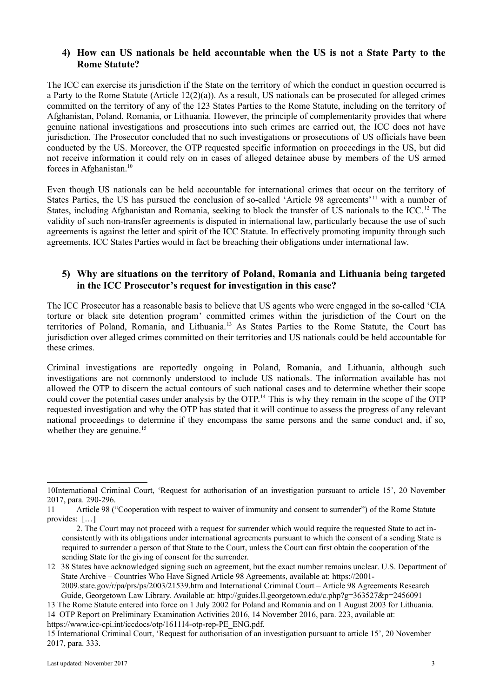#### **4) How can US nationals be held accountable when the US is not a State Party to the Rome Statute?**

The ICC can exercise its jurisdiction if the State on the territory of which the conduct in question occurred is a Party to the Rome Statute (Article  $12(2)(a)$ ). As a result, US nationals can be prosecuted for alleged crimes committed on the territory of any of the 123 States Parties to the Rome Statute, including on the territory of Afghanistan, Poland, Romania, or Lithuania. However, the principle of complementarity provides that where genuine national investigations and prosecutions into such crimes are carried out, the ICC does not have jurisdiction. The Prosecutor concluded that no such investigations or prosecutions of US officials have been conducted by the US. Moreover, the OTP requested specific information on proceedings in the US, but did not receive information it could rely on in cases of alleged detainee abuse by members of the US armed forces in Afghanistan.<sup>[10](#page-2-0)</sup>

Even though US nationals can be held accountable for international crimes that occur on the territory of States Parties, the US has pursued the conclusion of so-called 'Article 98 agreements'<sup>[11](#page-2-1)</sup> with a number of States, including Afghanistan and Romania, seeking to block the transfer of US nationals to the ICC.<sup>[12](#page-2-2)</sup> The validity of such non-transfer agreements is disputed in international law, particularly because the use of such agreements is against the letter and spirit of the ICC Statute. In effectively promoting impunity through such agreements, ICC States Parties would in fact be breaching their obligations under international law.

#### **5) Why are situations on the territory of Poland, Romania and Lithuania being targeted in the ICC Prosecutor's request for investigation in this case?**

The ICC Prosecutor has a reasonable basis to believe that US agents who were engaged in the so-called 'CIA torture or black site detention program' committed crimes within the jurisdiction of the Court on the territories of Poland, Romania, and Lithuania.[13](#page-2-3) As States Parties to the Rome Statute, the Court has jurisdiction over alleged crimes committed on their territories and US nationals could be held accountable for these crimes.

Criminal investigations are reportedly ongoing in Poland, Romania, and Lithuania, although such investigations are not commonly understood to include US nationals. The information available has not allowed the OTP to discern the actual contours of such national cases and to determine whether their scope could cover the potential cases under analysis by the OTP.<sup>14</sup> This is why they remain in the scope of the OTP requested investigation and why the OTP has stated that it will continue to assess the progress of any relevant national proceedings to determine if they encompass the same persons and the same conduct and, if so, whether they are genuine.<sup>[15](#page-2-5)</sup>

<span id="page-2-0"></span><sup>10</sup>International Criminal Court, 'Request for authorisation of an investigation pursuant to article 15', 20 November 2017, para. 290-296.

<span id="page-2-1"></span><sup>11</sup> Article 98 ("Cooperation with respect to waiver of immunity and consent to surrender") of the Rome Statute provides: […]

<sup>2.</sup> The Court may not proceed with a request for surrender which would require the requested State to act inconsistently with its obligations under international agreements pursuant to which the consent of a sending State is required to surrender a person of that State to the Court, unless the Court can first obtain the cooperation of the sending State for the giving of consent for the surrender.

<span id="page-2-2"></span><sup>12</sup> 38 States have acknowledged signing such an agreement, but the exact number remains unclear. U.S. Department of State Archive – Countries Who Have Signed Article 98 Agreements, available at: [https://2001-](https://2001-2009.state.gov/r/pa/prs/ps/2003/21539.htm) [2009.state.gov/r/pa/prs/ps/2003/21539.htm](https://2001-2009.state.gov/r/pa/prs/ps/2003/21539.htm) and International Criminal Court – Article 98 Agreements Research Guide, Georgetown Law Library. Available at:<http://guides.ll.georgetown.edu/c.php?g=363527&p=2456091>

<span id="page-2-3"></span><sup>13</sup> The Rome Statute entered into force on 1 July 2002 for Poland and Romania and on 1 August 2003 for Lithuania. 14 OTP Report on Preliminary Examination Activities 2016, 14 November 2016, para. 223, available at:

<span id="page-2-4"></span>https://www.icc-cpi.int/iccdocs/otp/161114-otp-rep-PE\_ENG.pdf.

<span id="page-2-5"></span><sup>15</sup> International Criminal Court, 'Request for authorisation of an investigation pursuant to article 15', 20 November 2017, para. 333.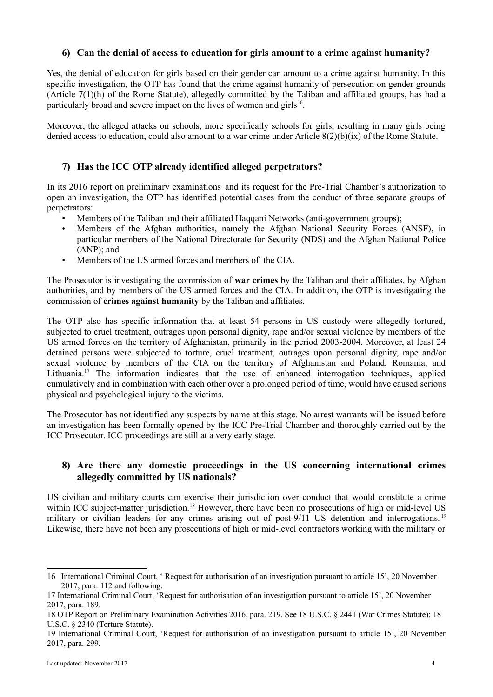#### **6) Can the denial of access to education for girls amount to a crime against humanity?**

Yes, the denial of education for girls based on their gender can amount to a crime against humanity. In this specific investigation, the OTP has found that the crime against humanity of persecution on gender grounds (Article 7(1)(h) of the Rome Statute), allegedly committed by the Taliban and affiliated groups, has had a particularly broad and severe impact on the lives of women and girls<sup>[16](#page-3-0)</sup>.

Moreover, the alleged attacks on schools, more specifically schools for girls, resulting in many girls being denied access to education, could also amount to a war crime under Article 8(2)(b)(ix) of the Rome Statute.

#### **7) Has the ICC OTP already identified alleged perpetrators?**

In its 2016 report on preliminary examinations and its request for the Pre-Trial Chamber's authorization to open an investigation, the OTP has identified potential cases from the conduct of three separate groups of perpetrators:

- Members of the Taliban and their affiliated Haqqani Networks (anti-government groups);
- Members of the Afghan authorities, namely the Afghan National Security Forces (ANSF), in particular members of the National Directorate for Security (NDS) and the Afghan National Police (ANP); and
- Members of the US armed forces and members of the CIA.

The Prosecutor is investigating the commission of **war crimes** by the Taliban and their affiliates, by Afghan authorities, and by members of the US armed forces and the CIA. In addition, the OTP is investigating the commission of **crimes against humanity** by the Taliban and affiliates.

The OTP also has specific information that at least 54 persons in US custody were allegedly tortured, subjected to cruel treatment, outrages upon personal dignity, rape and/or sexual violence by members of the US armed forces on the territory of Afghanistan, primarily in the period 2003-2004. Moreover, at least 24 detained persons were subjected to torture, cruel treatment, outrages upon personal dignity, rape and/or sexual violence by members of the CIA on the territory of Afghanistan and Poland, Romania, and Lithuania.<sup>[17](#page-3-1)</sup> The information indicates that the use of enhanced interrogation techniques, applied cumulatively and in combination with each other over a prolonged period of time, would have caused serious physical and psychological injury to the victims.

The Prosecutor has not identified any suspects by name at this stage. No arrest warrants will be issued before an investigation has been formally opened by the ICC Pre-Trial Chamber and thoroughly carried out by the ICC Prosecutor. ICC proceedings are still at a very early stage.

## **8) Are there any domestic proceedings in the US concerning international crimes allegedly committed by US nationals?**

US civilian and military courts can exercise their jurisdiction over conduct that would constitute a crime within ICC subject-matter jurisdiction.<sup>[18](#page-3-2)</sup> However, there have been no prosecutions of high or mid-level US military or civilian leaders for any crimes arising out of post-9/11 US detention and interrogations.<sup>[19](#page-3-3)</sup> Likewise, there have not been any prosecutions of high or mid-level contractors working with the military or

<span id="page-3-0"></span><sup>16</sup> International Criminal Court, ' Request for authorisation of an investigation pursuant to article 15', 20 November 2017, para. 112 and following.

<span id="page-3-1"></span><sup>17</sup> International Criminal Court, 'Request for authorisation of an investigation pursuant to article 15', 20 November 2017, para. 189.

<span id="page-3-2"></span><sup>18</sup> OTP Report on Preliminary Examination Activities 2016, para. 219. See 18 U.S.C. § 2441 (War Crimes Statute); 18 U.S.C. § 2340 (Torture Statute).

<span id="page-3-3"></span><sup>19</sup> International Criminal Court, 'Request for authorisation of an investigation pursuant to article 15', 20 November 2017, para. 299.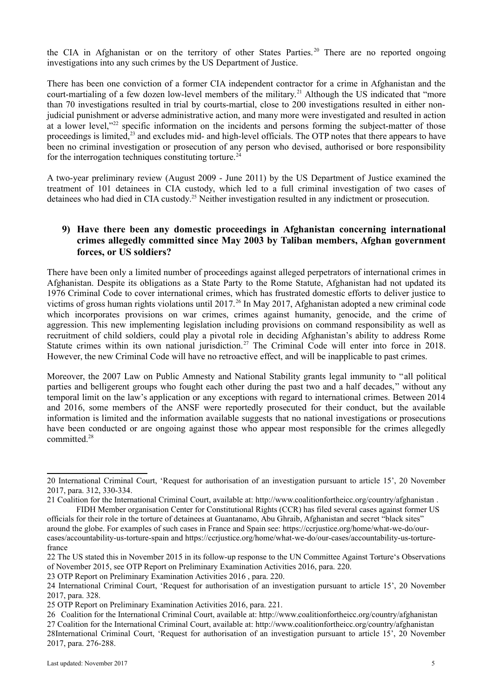the CIA in Afghanistan or on the territory of other States Parties. [20](#page-4-0) There are no reported ongoing investigations into any such crimes by the US Department of Justice.

There has been one conviction of a former CIA independent contractor for a crime in Afghanistan and the court-martialing of a few dozen low-level members of the military.<sup>[21](#page-4-1)</sup> Although the US indicated that "more than 70 investigations resulted in trial by courts-martial, close to 200 investigations resulted in either nonjudicial punishment or adverse administrative action, and many more were investigated and resulted in action at a lower level,"<sup>[22](#page-4-2)</sup> specific information on the incidents and persons forming the subject-matter of those proceedings is limited,<sup>[23](#page-4-3)</sup> and excludes mid- and high-level officials. The OTP notes that there appears to have been no criminal investigation or prosecution of any person who devised, authorised or bore responsibility for the interrogation techniques constituting torture.<sup>[24](#page-4-4)</sup>

A two-year preliminary review (August 2009 - June 2011) by the US Department of Justice examined the treatment of 101 detainees in CIA custody, which led to a full criminal investigation of two cases of detainees who had died in CIA custody.[25](#page-4-5) Neither investigation resulted in any indictment or prosecution.

#### **9) Have there been any domestic proceedings in Afghanistan concerning international crimes allegedly committed since May 2003 by Taliban members, Afghan government forces, or US soldiers?**

There have been only a limited number of proceedings against alleged perpetrators of international crimes in Afghanistan. Despite its obligations as a State Party to the Rome Statute, Afghanistan had not updated its 1976 Criminal Code to cover international crimes, which has frustrated domestic efforts to deliver justice to victims of gross human rights violations until 2017.<sup>[26](#page-4-6)</sup> In May 2017, Afghanistan adopted a new criminal code which incorporates provisions on war crimes, crimes against humanity, genocide, and the crime of aggression. This new implementing legislation including provisions on command responsibility as well as recruitment of child soldiers, could play a pivotal role in deciding Afghanistan's ability to address Rome Statute crimes within its own national jurisdiction.<sup>[27](#page-4-7)</sup> The Criminal Code will enter into force in 2018. However, the new Criminal Code will have no retroactive effect, and will be inapplicable to past crimes.

Moreover, the 2007 Law on Public Amnesty and National Stability grants legal immunity to "all political parties and belligerent groups who fought each other during the past two and a half decades," without any temporal limit on the law's application or any exceptions with regard to international crimes. Between 2014 and 2016, some members of the ANSF were reportedly prosecuted for their conduct, but the available information is limited and the information available suggests that no national investigations or prosecutions have been conducted or are ongoing against those who appear most responsible for the crimes allegedly committed<sup>[28](#page-4-8)</sup>

<span id="page-4-0"></span><sup>20</sup> International Criminal Court, 'Request for authorisation of an investigation pursuant to article 15', 20 November 2017, para. 312, 330-334.

<span id="page-4-1"></span><sup>21</sup> Coalition for the International Criminal Court, available at: [http://www.coalitionfortheicc.org/country/afghanistan](http://www.coalitionfortheicc.org/country/afghanistann) . FIDH Member organisation Center for Constitutional Rights (CCR) has filed several cases against former US

officials for their role in the torture of detainees at Guantanamo, Abu Ghraib, Afghanistan and secret "black sites" around the globe. For examples of such cases in France and Spain see: [https://ccrjustice.org/home/what-we-do/our](https://ccrjustice.org/home/what-we-do/our-cases/accountability-us-torture-spain)[cases/accountability-us-torture-spain](https://ccrjustice.org/home/what-we-do/our-cases/accountability-us-torture-spain) and [https://ccrjustice.org/home/what-we-do/our-cases/accountability-us-torture](https://ccrjustice.org/home/what-we-do/our-cases/accountability-us-torture-france)[france](https://ccrjustice.org/home/what-we-do/our-cases/accountability-us-torture-france)

<span id="page-4-2"></span><sup>22</sup> The US stated this in November 2015 in its follow-up response to the UN Committee Against Torture's Observations of November 2015, see OTP Report on Preliminary Examination Activities 2016, para. 220.

<span id="page-4-3"></span><sup>23</sup> OTP Report on Preliminary Examination Activities 2016 , para. 220.

<span id="page-4-4"></span><sup>24</sup> International Criminal Court, 'Request for authorisation of an investigation pursuant to article 15', 20 November 2017, para. 328.

<span id="page-4-5"></span><sup>25</sup> OTP Report on Preliminary Examination Activities 2016, para. 221.

<span id="page-4-8"></span><span id="page-4-7"></span><span id="page-4-6"></span><sup>26</sup> Coalition for the International Criminal Court, available at: http://www.coalitionfortheicc.org/country/afghanistan 27 Coalition for the International Criminal Court, available at: [http://www.coalitionfortheicc.org/country/afghanistan](http://www.coalitionfortheicc.org/country/afghanistann) 28International Criminal Court, 'Request for authorisation of an investigation pursuant to article 15', 20 November 2017, para. 276-288.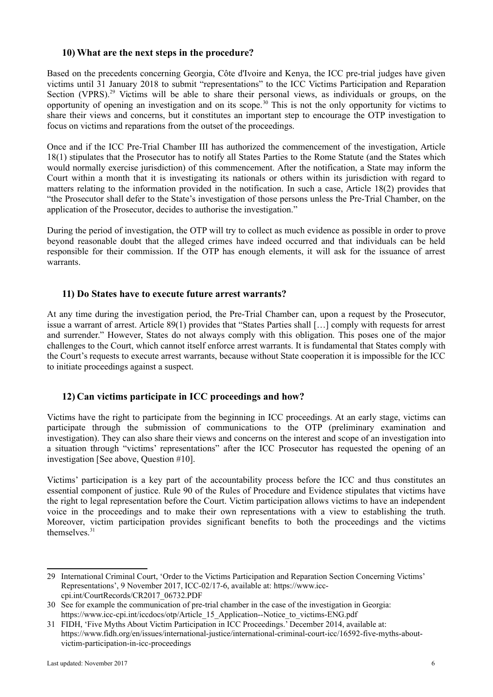#### **10) What are the next steps in the procedure?**

Based on the precedents concerning Georgia, Côte d'Ivoire and Kenya, the ICC pre-trial judges have given victims until 31 January 2018 to submit "representations" to the ICC Victims Participation and Reparation Section (VPRS).<sup>[29](#page-5-0)</sup> Victims will be able to share their personal views, as individuals or groups, on the opportunity of opening an investigation and on its scope.[30](#page-5-1) This is not the only opportunity for victims to share their views and concerns, but it constitutes an important step to encourage the OTP investigation to focus on victims and reparations from the outset of the proceedings.

Once and if the ICC Pre-Trial Chamber III has authorized the commencement of the investigation, Article 18(1) stipulates that the Prosecutor has to notify all States Parties to the Rome Statute (and the States which would normally exercise jurisdiction) of this commencement. After the notification, a State may inform the Court within a month that it is investigating its nationals or others within its jurisdiction with regard to matters relating to the information provided in the notification. In such a case, Article 18(2) provides that "the Prosecutor shall defer to the State's investigation of those persons unless the Pre-Trial Chamber, on the application of the Prosecutor, decides to authorise the investigation."

During the period of investigation, the OTP will try to collect as much evidence as possible in order to prove beyond reasonable doubt that the alleged crimes have indeed occurred and that individuals can be held responsible for their commission. If the OTP has enough elements, it will ask for the issuance of arrest warrants.

#### **11) Do States have to execute future arrest warrants?**

At any time during the investigation period, the Pre-Trial Chamber can, upon a request by the Prosecutor, issue a warrant of arrest. Article 89(1) provides that "States Parties shall […] comply with requests for arrest and surrender." However, States do not always comply with this obligation. This poses one of the major challenges to the Court, which cannot itself enforce arrest warrants. It is fundamental that States comply with the Court's requests to execute arrest warrants, because without State cooperation it is impossible for the ICC to initiate proceedings against a suspect.

# **12) Can victims participate in ICC proceedings and how?**

Victims have the right to participate from the beginning in ICC proceedings. At an early stage, victims can participate through the submission of communications to the OTP (preliminary examination and investigation). They can also share their views and concerns on the interest and scope of an investigation into a situation through "victims' representations" after the ICC Prosecutor has requested the opening of an investigation [See above, Question #10].

Victims' participation is a key part of the accountability process before the ICC and thus constitutes an essential component of justice. Rule 90 of the Rules of Procedure and Evidence stipulates that victims have the right to legal representation before the Court. Victim participation allows victims to have an independent voice in the proceedings and to make their own representations with a view to establishing the truth. Moreover, victim participation provides significant benefits to both the proceedings and the victims themselves.<sup>[31](#page-5-2)</sup>

<span id="page-5-0"></span><sup>29</sup> International Criminal Court, 'Order to the Victims Participation and Reparation Section Concerning Victims' Representations', 9 November 2017, ICC-02/17-6, available at: [https://www.icc](https://www.icc-cpi.int/CourtRecords/CR2017_06732.PDF)[cpi.int/CourtRecords/CR2017\\_06732.PDF](https://www.icc-cpi.int/CourtRecords/CR2017_06732.PDF)

<span id="page-5-1"></span><sup>30</sup> See for example the communication of pre-trial chamber in the case of the investigation in Georgia: [https://www.icc-cpi.int/iccdocs/otp/Article\\_15\\_Application--Notice\\_to\\_victims-ENG.pdf](https://www.icc-cpi.int/iccdocs/otp/Article_15_Application--Notice_to_victims-ENG.pdf)

<span id="page-5-2"></span><sup>31</sup> FIDH, 'Five Myths About Victim Participation in ICC Proceedings.' December 2014, available at: [https://www.fidh.org/en/issues/international-justice/international-criminal-court-icc/16592-five-myths-about](https://www.fidh.org/en/issues/international-justice/international-criminal-court-icc/16592-five-myths-about-victim-participation-in-icc-proceedings)[victim-participation-in-icc-proceedings](https://www.fidh.org/en/issues/international-justice/international-criminal-court-icc/16592-five-myths-about-victim-participation-in-icc-proceedings)